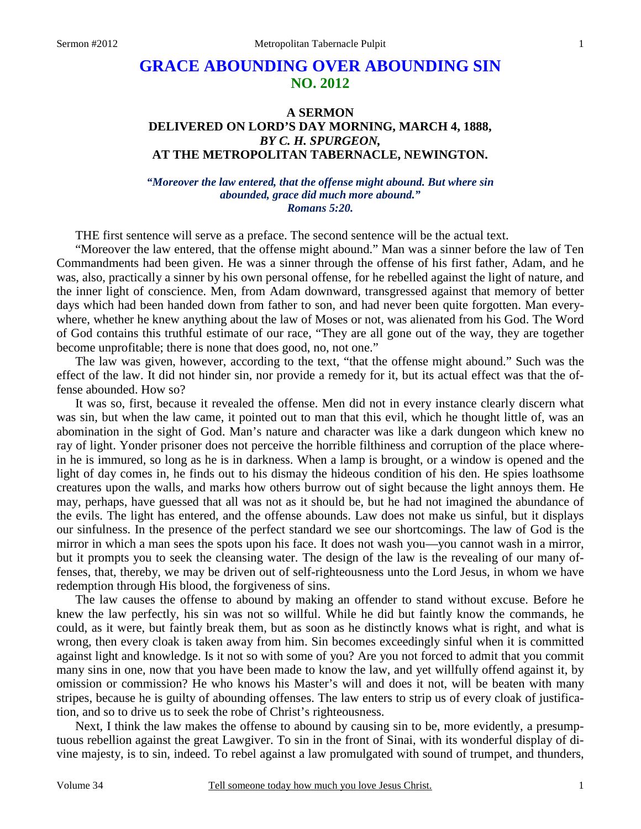# **GRACE ABOUNDING OVER ABOUNDING SIN NO. 2012**

## **A SERMON DELIVERED ON LORD'S DAY MORNING, MARCH 4, 1888,**  *BY C. H. SPURGEON,*  **AT THE METROPOLITAN TABERNACLE, NEWINGTON.**

#### *"Moreover the law entered, that the offense might abound. But where sin abounded, grace did much more abound." Romans 5:20.*

THE first sentence will serve as a preface. The second sentence will be the actual text.

"Moreover the law entered, that the offense might abound." Man was a sinner before the law of Ten Commandments had been given. He was a sinner through the offense of his first father, Adam, and he was, also, practically a sinner by his own personal offense, for he rebelled against the light of nature, and the inner light of conscience. Men, from Adam downward, transgressed against that memory of better days which had been handed down from father to son, and had never been quite forgotten. Man everywhere, whether he knew anything about the law of Moses or not, was alienated from his God. The Word of God contains this truthful estimate of our race, "They are all gone out of the way, they are together become unprofitable; there is none that does good, no, not one."

The law was given, however, according to the text, "that the offense might abound." Such was the effect of the law. It did not hinder sin, nor provide a remedy for it, but its actual effect was that the offense abounded. How so?

It was so, first, because it revealed the offense. Men did not in every instance clearly discern what was sin, but when the law came, it pointed out to man that this evil, which he thought little of, was an abomination in the sight of God. Man's nature and character was like a dark dungeon which knew no ray of light. Yonder prisoner does not perceive the horrible filthiness and corruption of the place wherein he is immured, so long as he is in darkness. When a lamp is brought, or a window is opened and the light of day comes in, he finds out to his dismay the hideous condition of his den. He spies loathsome creatures upon the walls, and marks how others burrow out of sight because the light annoys them. He may, perhaps, have guessed that all was not as it should be, but he had not imagined the abundance of the evils. The light has entered, and the offense abounds. Law does not make us sinful, but it displays our sinfulness. In the presence of the perfect standard we see our shortcomings. The law of God is the mirror in which a man sees the spots upon his face. It does not wash you—you cannot wash in a mirror, but it prompts you to seek the cleansing water. The design of the law is the revealing of our many offenses, that, thereby, we may be driven out of self-righteousness unto the Lord Jesus, in whom we have redemption through His blood, the forgiveness of sins.

The law causes the offense to abound by making an offender to stand without excuse. Before he knew the law perfectly, his sin was not so willful. While he did but faintly know the commands, he could, as it were, but faintly break them, but as soon as he distinctly knows what is right, and what is wrong, then every cloak is taken away from him. Sin becomes exceedingly sinful when it is committed against light and knowledge. Is it not so with some of you? Are you not forced to admit that you commit many sins in one, now that you have been made to know the law, and yet willfully offend against it, by omission or commission? He who knows his Master's will and does it not, will be beaten with many stripes, because he is guilty of abounding offenses. The law enters to strip us of every cloak of justification, and so to drive us to seek the robe of Christ's righteousness.

Next, I think the law makes the offense to abound by causing sin to be, more evidently, a presumptuous rebellion against the great Lawgiver. To sin in the front of Sinai, with its wonderful display of divine majesty, is to sin, indeed. To rebel against a law promulgated with sound of trumpet, and thunders,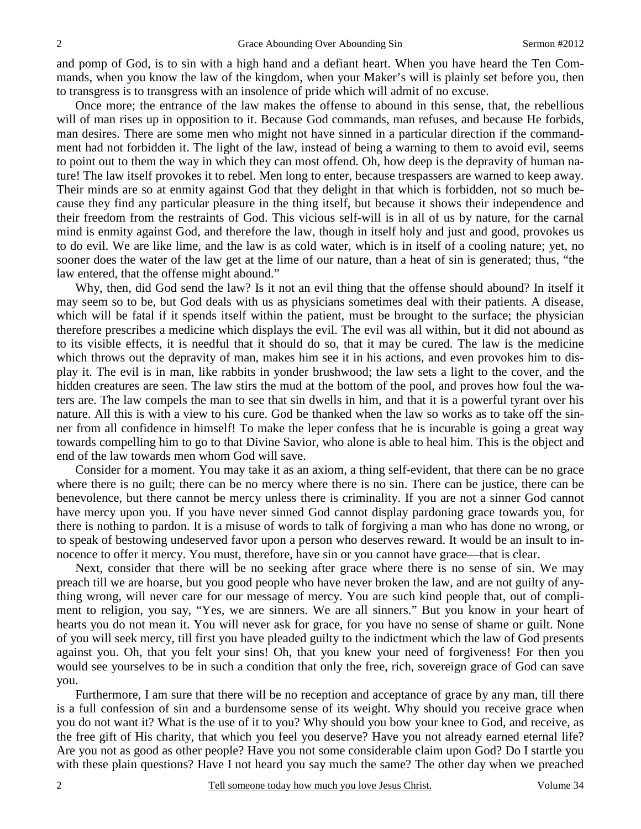and pomp of God, is to sin with a high hand and a defiant heart. When you have heard the Ten Commands, when you know the law of the kingdom, when your Maker's will is plainly set before you, then to transgress is to transgress with an insolence of pride which will admit of no excuse.

Once more; the entrance of the law makes the offense to abound in this sense, that, the rebellious will of man rises up in opposition to it. Because God commands, man refuses, and because He forbids, man desires. There are some men who might not have sinned in a particular direction if the commandment had not forbidden it. The light of the law, instead of being a warning to them to avoid evil, seems to point out to them the way in which they can most offend. Oh, how deep is the depravity of human nature! The law itself provokes it to rebel. Men long to enter, because trespassers are warned to keep away. Their minds are so at enmity against God that they delight in that which is forbidden, not so much because they find any particular pleasure in the thing itself, but because it shows their independence and their freedom from the restraints of God. This vicious self-will is in all of us by nature, for the carnal mind is enmity against God, and therefore the law, though in itself holy and just and good, provokes us to do evil. We are like lime, and the law is as cold water, which is in itself of a cooling nature; yet, no sooner does the water of the law get at the lime of our nature, than a heat of sin is generated; thus, "the law entered, that the offense might abound."

Why, then, did God send the law? Is it not an evil thing that the offense should abound? In itself it may seem so to be, but God deals with us as physicians sometimes deal with their patients. A disease, which will be fatal if it spends itself within the patient, must be brought to the surface; the physician therefore prescribes a medicine which displays the evil. The evil was all within, but it did not abound as to its visible effects, it is needful that it should do so, that it may be cured. The law is the medicine which throws out the depravity of man, makes him see it in his actions, and even provokes him to display it. The evil is in man, like rabbits in yonder brushwood; the law sets a light to the cover, and the hidden creatures are seen. The law stirs the mud at the bottom of the pool, and proves how foul the waters are. The law compels the man to see that sin dwells in him, and that it is a powerful tyrant over his nature. All this is with a view to his cure. God be thanked when the law so works as to take off the sinner from all confidence in himself! To make the leper confess that he is incurable is going a great way towards compelling him to go to that Divine Savior, who alone is able to heal him. This is the object and end of the law towards men whom God will save.

Consider for a moment. You may take it as an axiom, a thing self-evident, that there can be no grace where there is no guilt; there can be no mercy where there is no sin. There can be justice, there can be benevolence, but there cannot be mercy unless there is criminality. If you are not a sinner God cannot have mercy upon you. If you have never sinned God cannot display pardoning grace towards you, for there is nothing to pardon. It is a misuse of words to talk of forgiving a man who has done no wrong, or to speak of bestowing undeserved favor upon a person who deserves reward. It would be an insult to innocence to offer it mercy. You must, therefore, have sin or you cannot have grace—that is clear.

Next, consider that there will be no seeking after grace where there is no sense of sin. We may preach till we are hoarse, but you good people who have never broken the law, and are not guilty of anything wrong, will never care for our message of mercy. You are such kind people that, out of compliment to religion, you say, "Yes, we are sinners. We are all sinners." But you know in your heart of hearts you do not mean it. You will never ask for grace, for you have no sense of shame or guilt. None of you will seek mercy, till first you have pleaded guilty to the indictment which the law of God presents against you. Oh, that you felt your sins! Oh, that you knew your need of forgiveness! For then you would see yourselves to be in such a condition that only the free, rich, sovereign grace of God can save you.

Furthermore, I am sure that there will be no reception and acceptance of grace by any man, till there is a full confession of sin and a burdensome sense of its weight. Why should you receive grace when you do not want it? What is the use of it to you? Why should you bow your knee to God, and receive, as the free gift of His charity, that which you feel you deserve? Have you not already earned eternal life? Are you not as good as other people? Have you not some considerable claim upon God? Do I startle you with these plain questions? Have I not heard you say much the same? The other day when we preached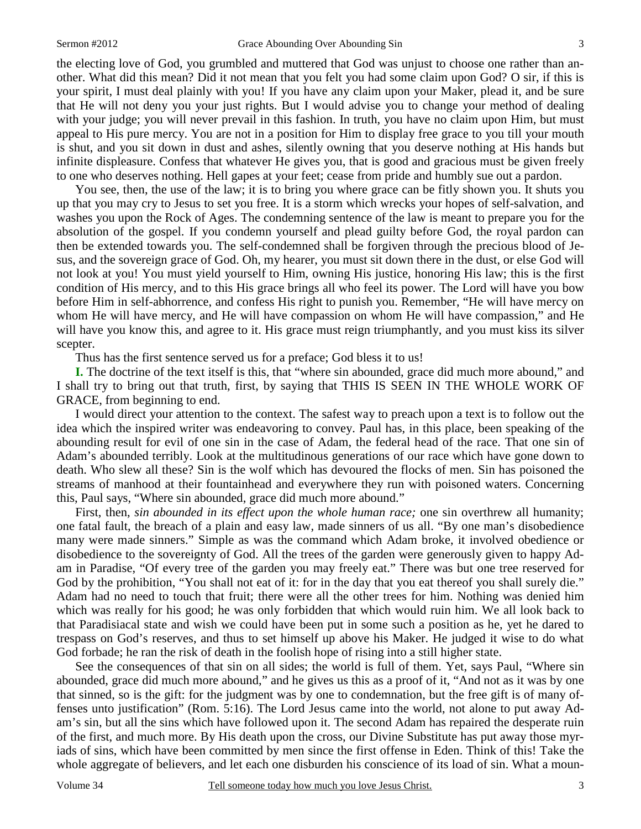the electing love of God, you grumbled and muttered that God was unjust to choose one rather than another. What did this mean? Did it not mean that you felt you had some claim upon God? O sir, if this is your spirit, I must deal plainly with you! If you have any claim upon your Maker, plead it, and be sure that He will not deny you your just rights. But I would advise you to change your method of dealing with your judge; you will never prevail in this fashion. In truth, you have no claim upon Him, but must appeal to His pure mercy. You are not in a position for Him to display free grace to you till your mouth is shut, and you sit down in dust and ashes, silently owning that you deserve nothing at His hands but infinite displeasure. Confess that whatever He gives you, that is good and gracious must be given freely to one who deserves nothing. Hell gapes at your feet; cease from pride and humbly sue out a pardon.

You see, then, the use of the law; it is to bring you where grace can be fitly shown you. It shuts you up that you may cry to Jesus to set you free. It is a storm which wrecks your hopes of self-salvation, and washes you upon the Rock of Ages. The condemning sentence of the law is meant to prepare you for the absolution of the gospel. If you condemn yourself and plead guilty before God, the royal pardon can then be extended towards you. The self-condemned shall be forgiven through the precious blood of Jesus, and the sovereign grace of God. Oh, my hearer, you must sit down there in the dust, or else God will not look at you! You must yield yourself to Him, owning His justice, honoring His law; this is the first condition of His mercy, and to this His grace brings all who feel its power. The Lord will have you bow before Him in self-abhorrence, and confess His right to punish you. Remember, "He will have mercy on whom He will have mercy, and He will have compassion on whom He will have compassion," and He will have you know this, and agree to it. His grace must reign triumphantly, and you must kiss its silver scepter.

Thus has the first sentence served us for a preface; God bless it to us!

**I.** The doctrine of the text itself is this, that "where sin abounded, grace did much more abound," and I shall try to bring out that truth, first, by saying that THIS IS SEEN IN THE WHOLE WORK OF GRACE, from beginning to end.

I would direct your attention to the context. The safest way to preach upon a text is to follow out the idea which the inspired writer was endeavoring to convey. Paul has, in this place, been speaking of the abounding result for evil of one sin in the case of Adam, the federal head of the race. That one sin of Adam's abounded terribly. Look at the multitudinous generations of our race which have gone down to death. Who slew all these? Sin is the wolf which has devoured the flocks of men. Sin has poisoned the streams of manhood at their fountainhead and everywhere they run with poisoned waters. Concerning this, Paul says, "Where sin abounded, grace did much more abound."

First, then, *sin abounded in its effect upon the whole human race;* one sin overthrew all humanity; one fatal fault, the breach of a plain and easy law, made sinners of us all. "By one man's disobedience many were made sinners." Simple as was the command which Adam broke, it involved obedience or disobedience to the sovereignty of God. All the trees of the garden were generously given to happy Adam in Paradise, "Of every tree of the garden you may freely eat." There was but one tree reserved for God by the prohibition, "You shall not eat of it: for in the day that you eat thereof you shall surely die." Adam had no need to touch that fruit; there were all the other trees for him. Nothing was denied him which was really for his good; he was only forbidden that which would ruin him. We all look back to that Paradisiacal state and wish we could have been put in some such a position as he, yet he dared to trespass on God's reserves, and thus to set himself up above his Maker. He judged it wise to do what God forbade; he ran the risk of death in the foolish hope of rising into a still higher state.

See the consequences of that sin on all sides; the world is full of them. Yet, says Paul, "Where sin abounded, grace did much more abound," and he gives us this as a proof of it, "And not as it was by one that sinned, so is the gift: for the judgment was by one to condemnation, but the free gift is of many offenses unto justification" (Rom. 5:16). The Lord Jesus came into the world, not alone to put away Adam's sin, but all the sins which have followed upon it. The second Adam has repaired the desperate ruin of the first, and much more. By His death upon the cross, our Divine Substitute has put away those myriads of sins, which have been committed by men since the first offense in Eden. Think of this! Take the whole aggregate of believers, and let each one disburden his conscience of its load of sin. What a moun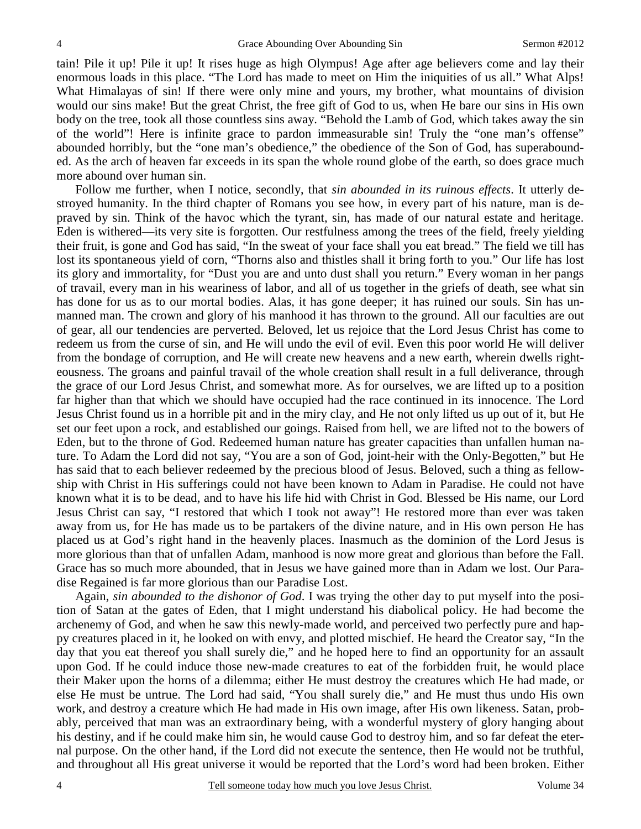tain! Pile it up! Pile it up! It rises huge as high Olympus! Age after age believers come and lay their enormous loads in this place. "The Lord has made to meet on Him the iniquities of us all." What Alps! What Himalayas of sin! If there were only mine and yours, my brother, what mountains of division would our sins make! But the great Christ, the free gift of God to us, when He bare our sins in His own body on the tree, took all those countless sins away. "Behold the Lamb of God, which takes away the sin of the world"! Here is infinite grace to pardon immeasurable sin! Truly the "one man's offense" abounded horribly, but the "one man's obedience," the obedience of the Son of God, has superabounded. As the arch of heaven far exceeds in its span the whole round globe of the earth, so does grace much more abound over human sin.

Follow me further, when I notice, secondly, that *sin abounded in its ruinous effects*. It utterly destroyed humanity. In the third chapter of Romans you see how, in every part of his nature, man is depraved by sin. Think of the havoc which the tyrant, sin, has made of our natural estate and heritage. Eden is withered—its very site is forgotten. Our restfulness among the trees of the field, freely yielding their fruit, is gone and God has said, "In the sweat of your face shall you eat bread." The field we till has lost its spontaneous yield of corn, "Thorns also and thistles shall it bring forth to you." Our life has lost its glory and immortality, for "Dust you are and unto dust shall you return." Every woman in her pangs of travail, every man in his weariness of labor, and all of us together in the griefs of death, see what sin has done for us as to our mortal bodies. Alas, it has gone deeper; it has ruined our souls. Sin has unmanned man. The crown and glory of his manhood it has thrown to the ground. All our faculties are out of gear, all our tendencies are perverted. Beloved, let us rejoice that the Lord Jesus Christ has come to redeem us from the curse of sin, and He will undo the evil of evil. Even this poor world He will deliver from the bondage of corruption, and He will create new heavens and a new earth, wherein dwells righteousness. The groans and painful travail of the whole creation shall result in a full deliverance, through the grace of our Lord Jesus Christ, and somewhat more. As for ourselves, we are lifted up to a position far higher than that which we should have occupied had the race continued in its innocence. The Lord Jesus Christ found us in a horrible pit and in the miry clay, and He not only lifted us up out of it, but He set our feet upon a rock, and established our goings. Raised from hell, we are lifted not to the bowers of Eden, but to the throne of God. Redeemed human nature has greater capacities than unfallen human nature. To Adam the Lord did not say, "You are a son of God, joint-heir with the Only-Begotten," but He has said that to each believer redeemed by the precious blood of Jesus. Beloved, such a thing as fellowship with Christ in His sufferings could not have been known to Adam in Paradise. He could not have known what it is to be dead, and to have his life hid with Christ in God. Blessed be His name, our Lord Jesus Christ can say, "I restored that which I took not away"! He restored more than ever was taken away from us, for He has made us to be partakers of the divine nature, and in His own person He has placed us at God's right hand in the heavenly places. Inasmuch as the dominion of the Lord Jesus is more glorious than that of unfallen Adam, manhood is now more great and glorious than before the Fall. Grace has so much more abounded, that in Jesus we have gained more than in Adam we lost. Our Paradise Regained is far more glorious than our Paradise Lost.

Again, *sin abounded to the dishonor of God*. I was trying the other day to put myself into the position of Satan at the gates of Eden, that I might understand his diabolical policy. He had become the archenemy of God, and when he saw this newly-made world, and perceived two perfectly pure and happy creatures placed in it, he looked on with envy, and plotted mischief. He heard the Creator say, "In the day that you eat thereof you shall surely die," and he hoped here to find an opportunity for an assault upon God. If he could induce those new-made creatures to eat of the forbidden fruit, he would place their Maker upon the horns of a dilemma; either He must destroy the creatures which He had made, or else He must be untrue. The Lord had said, "You shall surely die," and He must thus undo His own work, and destroy a creature which He had made in His own image, after His own likeness. Satan, probably, perceived that man was an extraordinary being, with a wonderful mystery of glory hanging about his destiny, and if he could make him sin, he would cause God to destroy him, and so far defeat the eternal purpose. On the other hand, if the Lord did not execute the sentence, then He would not be truthful, and throughout all His great universe it would be reported that the Lord's word had been broken. Either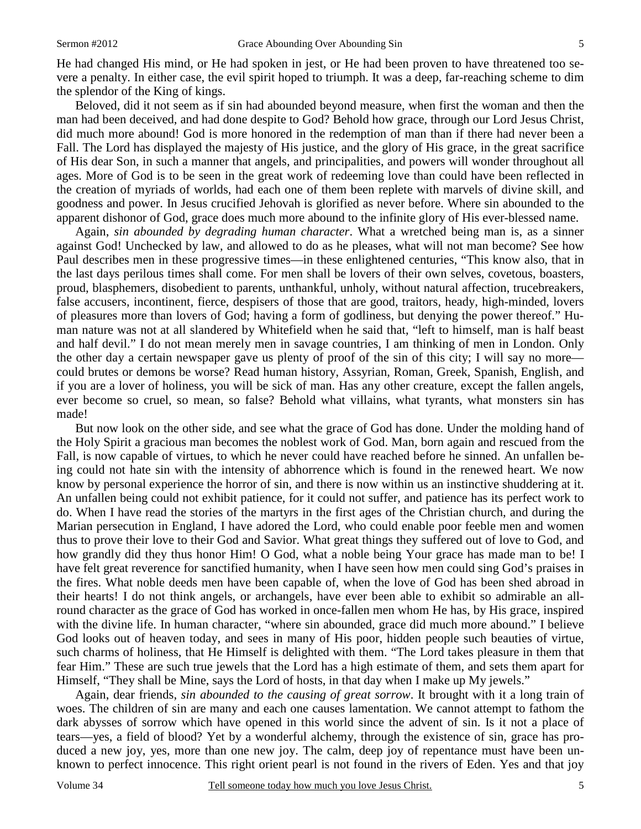He had changed His mind, or He had spoken in jest, or He had been proven to have threatened too severe a penalty. In either case, the evil spirit hoped to triumph. It was a deep, far-reaching scheme to dim the splendor of the King of kings.

Beloved, did it not seem as if sin had abounded beyond measure, when first the woman and then the man had been deceived, and had done despite to God? Behold how grace, through our Lord Jesus Christ, did much more abound! God is more honored in the redemption of man than if there had never been a Fall. The Lord has displayed the majesty of His justice, and the glory of His grace, in the great sacrifice of His dear Son, in such a manner that angels, and principalities, and powers will wonder throughout all ages. More of God is to be seen in the great work of redeeming love than could have been reflected in the creation of myriads of worlds, had each one of them been replete with marvels of divine skill, and goodness and power. In Jesus crucified Jehovah is glorified as never before. Where sin abounded to the apparent dishonor of God, grace does much more abound to the infinite glory of His ever-blessed name.

Again, *sin abounded by degrading human character*. What a wretched being man is, as a sinner against God! Unchecked by law, and allowed to do as he pleases, what will not man become? See how Paul describes men in these progressive times—in these enlightened centuries, "This know also, that in the last days perilous times shall come. For men shall be lovers of their own selves, covetous, boasters, proud, blasphemers, disobedient to parents, unthankful, unholy, without natural affection, trucebreakers, false accusers, incontinent, fierce, despisers of those that are good, traitors, heady, high-minded, lovers of pleasures more than lovers of God; having a form of godliness, but denying the power thereof." Human nature was not at all slandered by Whitefield when he said that, "left to himself, man is half beast and half devil." I do not mean merely men in savage countries, I am thinking of men in London. Only the other day a certain newspaper gave us plenty of proof of the sin of this city; I will say no more could brutes or demons be worse? Read human history, Assyrian, Roman, Greek, Spanish, English, and if you are a lover of holiness, you will be sick of man. Has any other creature, except the fallen angels, ever become so cruel, so mean, so false? Behold what villains, what tyrants, what monsters sin has made!

But now look on the other side, and see what the grace of God has done. Under the molding hand of the Holy Spirit a gracious man becomes the noblest work of God. Man, born again and rescued from the Fall, is now capable of virtues, to which he never could have reached before he sinned. An unfallen being could not hate sin with the intensity of abhorrence which is found in the renewed heart. We now know by personal experience the horror of sin, and there is now within us an instinctive shuddering at it. An unfallen being could not exhibit patience, for it could not suffer, and patience has its perfect work to do. When I have read the stories of the martyrs in the first ages of the Christian church, and during the Marian persecution in England, I have adored the Lord, who could enable poor feeble men and women thus to prove their love to their God and Savior. What great things they suffered out of love to God, and how grandly did they thus honor Him! O God, what a noble being Your grace has made man to be! I have felt great reverence for sanctified humanity, when I have seen how men could sing God's praises in the fires. What noble deeds men have been capable of, when the love of God has been shed abroad in their hearts! I do not think angels, or archangels, have ever been able to exhibit so admirable an allround character as the grace of God has worked in once-fallen men whom He has, by His grace, inspired with the divine life. In human character, "where sin abounded, grace did much more abound." I believe God looks out of heaven today, and sees in many of His poor, hidden people such beauties of virtue, such charms of holiness, that He Himself is delighted with them. "The Lord takes pleasure in them that fear Him." These are such true jewels that the Lord has a high estimate of them, and sets them apart for Himself, "They shall be Mine, says the Lord of hosts, in that day when I make up My jewels."

Again, dear friends, *sin abounded to the causing of great sorrow*. It brought with it a long train of woes. The children of sin are many and each one causes lamentation. We cannot attempt to fathom the dark abysses of sorrow which have opened in this world since the advent of sin. Is it not a place of tears—yes, a field of blood? Yet by a wonderful alchemy, through the existence of sin, grace has produced a new joy, yes, more than one new joy. The calm, deep joy of repentance must have been unknown to perfect innocence. This right orient pearl is not found in the rivers of Eden. Yes and that joy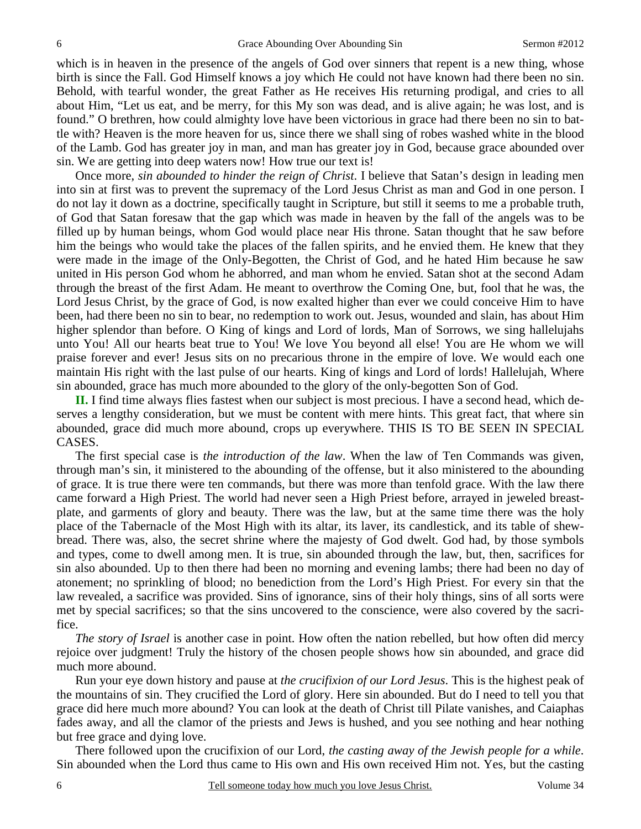which is in heaven in the presence of the angels of God over sinners that repent is a new thing, whose birth is since the Fall. God Himself knows a joy which He could not have known had there been no sin. Behold, with tearful wonder, the great Father as He receives His returning prodigal, and cries to all about Him, "Let us eat, and be merry, for this My son was dead, and is alive again; he was lost, and is found." O brethren, how could almighty love have been victorious in grace had there been no sin to battle with? Heaven is the more heaven for us, since there we shall sing of robes washed white in the blood of the Lamb. God has greater joy in man, and man has greater joy in God, because grace abounded over sin. We are getting into deep waters now! How true our text is!

Once more, *sin abounded to hinder the reign of Christ*. I believe that Satan's design in leading men into sin at first was to prevent the supremacy of the Lord Jesus Christ as man and God in one person. I do not lay it down as a doctrine, specifically taught in Scripture, but still it seems to me a probable truth, of God that Satan foresaw that the gap which was made in heaven by the fall of the angels was to be filled up by human beings, whom God would place near His throne. Satan thought that he saw before him the beings who would take the places of the fallen spirits, and he envied them. He knew that they were made in the image of the Only-Begotten, the Christ of God, and he hated Him because he saw united in His person God whom he abhorred, and man whom he envied. Satan shot at the second Adam through the breast of the first Adam. He meant to overthrow the Coming One, but, fool that he was, the Lord Jesus Christ, by the grace of God, is now exalted higher than ever we could conceive Him to have been, had there been no sin to bear, no redemption to work out. Jesus, wounded and slain, has about Him higher splendor than before. O King of kings and Lord of lords, Man of Sorrows, we sing hallelujahs unto You! All our hearts beat true to You! We love You beyond all else! You are He whom we will praise forever and ever! Jesus sits on no precarious throne in the empire of love. We would each one maintain His right with the last pulse of our hearts. King of kings and Lord of lords! Hallelujah, Where sin abounded, grace has much more abounded to the glory of the only-begotten Son of God.

**II.** I find time always flies fastest when our subject is most precious. I have a second head, which deserves a lengthy consideration, but we must be content with mere hints. This great fact, that where sin abounded, grace did much more abound, crops up everywhere. THIS IS TO BE SEEN IN SPECIAL CASES.

The first special case is *the introduction of the law*. When the law of Ten Commands was given, through man's sin, it ministered to the abounding of the offense, but it also ministered to the abounding of grace. It is true there were ten commands, but there was more than tenfold grace. With the law there came forward a High Priest. The world had never seen a High Priest before, arrayed in jeweled breastplate, and garments of glory and beauty. There was the law, but at the same time there was the holy place of the Tabernacle of the Most High with its altar, its laver, its candlestick, and its table of shewbread. There was, also, the secret shrine where the majesty of God dwelt. God had, by those symbols and types, come to dwell among men. It is true, sin abounded through the law, but, then, sacrifices for sin also abounded. Up to then there had been no morning and evening lambs; there had been no day of atonement; no sprinkling of blood; no benediction from the Lord's High Priest. For every sin that the law revealed, a sacrifice was provided. Sins of ignorance, sins of their holy things, sins of all sorts were met by special sacrifices; so that the sins uncovered to the conscience, were also covered by the sacrifice.

*The story of Israel* is another case in point. How often the nation rebelled, but how often did mercy rejoice over judgment! Truly the history of the chosen people shows how sin abounded, and grace did much more abound.

Run your eye down history and pause at *the crucifixion of our Lord Jesus*. This is the highest peak of the mountains of sin. They crucified the Lord of glory. Here sin abounded. But do I need to tell you that grace did here much more abound? You can look at the death of Christ till Pilate vanishes, and Caiaphas fades away, and all the clamor of the priests and Jews is hushed, and you see nothing and hear nothing but free grace and dying love.

There followed upon the crucifixion of our Lord, *the casting away of the Jewish people for a while*. Sin abounded when the Lord thus came to His own and His own received Him not. Yes, but the casting

6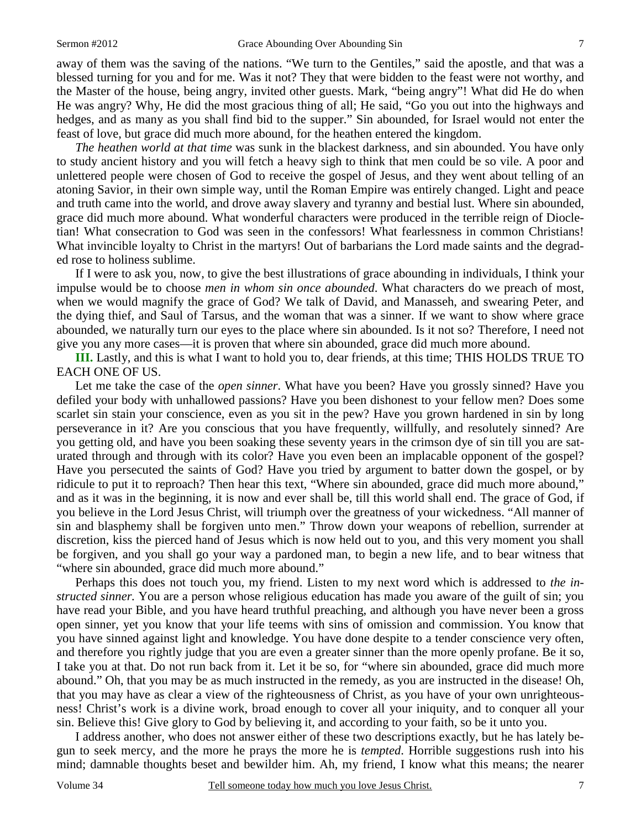away of them was the saving of the nations. "We turn to the Gentiles," said the apostle, and that was a blessed turning for you and for me. Was it not? They that were bidden to the feast were not worthy, and the Master of the house, being angry, invited other guests. Mark, "being angry"! What did He do when He was angry? Why, He did the most gracious thing of all; He said, "Go you out into the highways and hedges, and as many as you shall find bid to the supper." Sin abounded, for Israel would not enter the feast of love, but grace did much more abound, for the heathen entered the kingdom.

*The heathen world at that time* was sunk in the blackest darkness, and sin abounded. You have only to study ancient history and you will fetch a heavy sigh to think that men could be so vile. A poor and unlettered people were chosen of God to receive the gospel of Jesus, and they went about telling of an atoning Savior, in their own simple way, until the Roman Empire was entirely changed. Light and peace and truth came into the world, and drove away slavery and tyranny and bestial lust. Where sin abounded, grace did much more abound. What wonderful characters were produced in the terrible reign of Diocletian! What consecration to God was seen in the confessors! What fearlessness in common Christians! What invincible loyalty to Christ in the martyrs! Out of barbarians the Lord made saints and the degraded rose to holiness sublime.

If I were to ask you, now, to give the best illustrations of grace abounding in individuals, I think your impulse would be to choose *men in whom sin once abounded*. What characters do we preach of most, when we would magnify the grace of God? We talk of David, and Manasseh, and swearing Peter, and the dying thief, and Saul of Tarsus, and the woman that was a sinner. If we want to show where grace abounded, we naturally turn our eyes to the place where sin abounded. Is it not so? Therefore, I need not give you any more cases—it is proven that where sin abounded, grace did much more abound.

**III.** Lastly, and this is what I want to hold you to, dear friends, at this time; THIS HOLDS TRUE TO EACH ONE OF US.

Let me take the case of the *open sinner*. What have you been? Have you grossly sinned? Have you defiled your body with unhallowed passions? Have you been dishonest to your fellow men? Does some scarlet sin stain your conscience, even as you sit in the pew? Have you grown hardened in sin by long perseverance in it? Are you conscious that you have frequently, willfully, and resolutely sinned? Are you getting old, and have you been soaking these seventy years in the crimson dye of sin till you are saturated through and through with its color? Have you even been an implacable opponent of the gospel? Have you persecuted the saints of God? Have you tried by argument to batter down the gospel, or by ridicule to put it to reproach? Then hear this text, "Where sin abounded, grace did much more abound," and as it was in the beginning, it is now and ever shall be, till this world shall end. The grace of God, if you believe in the Lord Jesus Christ, will triumph over the greatness of your wickedness. "All manner of sin and blasphemy shall be forgiven unto men." Throw down your weapons of rebellion, surrender at discretion, kiss the pierced hand of Jesus which is now held out to you, and this very moment you shall be forgiven, and you shall go your way a pardoned man, to begin a new life, and to bear witness that "where sin abounded, grace did much more abound."

Perhaps this does not touch you, my friend. Listen to my next word which is addressed to *the instructed sinner.* You are a person whose religious education has made you aware of the guilt of sin; you have read your Bible, and you have heard truthful preaching, and although you have never been a gross open sinner, yet you know that your life teems with sins of omission and commission. You know that you have sinned against light and knowledge. You have done despite to a tender conscience very often, and therefore you rightly judge that you are even a greater sinner than the more openly profane. Be it so, I take you at that. Do not run back from it. Let it be so, for "where sin abounded, grace did much more abound." Oh, that you may be as much instructed in the remedy, as you are instructed in the disease! Oh, that you may have as clear a view of the righteousness of Christ, as you have of your own unrighteousness! Christ's work is a divine work, broad enough to cover all your iniquity, and to conquer all your sin. Believe this! Give glory to God by believing it, and according to your faith, so be it unto you.

I address another, who does not answer either of these two descriptions exactly, but he has lately begun to seek mercy, and the more he prays the more he is *tempted*. Horrible suggestions rush into his mind; damnable thoughts beset and bewilder him. Ah, my friend, I know what this means; the nearer